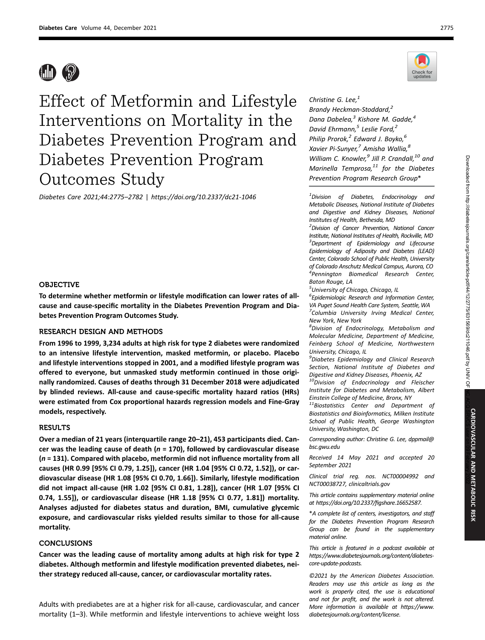

Effect of Metformin and Lifestyle Interventions on Mortality in the Diabetes Prevention Program and Diabetes Prevention Program Outcomes Study

Diabetes Care 2021;44:2775–2782 | https://doi.org/10.2337/dc21-1046

### OBJECTIVE

To determine whether metformin or lifestyle modification can lower rates of allcause and cause-specific mortality in the Diabetes Prevention Program and Diabetes Prevention Program Outcomes Study.

## RESEARCH DESIGN AND METHODS

From 1996 to 1999, 3,234 adults at high risk for type 2 diabetes were randomized to an intensive lifestyle intervention, masked metformin, or placebo. Placebo and lifestyle interventions stopped in 2001, and a modified lifestyle program was offered to everyone, but unmasked study metformin continued in those originally randomized. Causes of deaths through 31 December 2018 were adjudicated by blinded reviews. All-cause and cause-specific mortality hazard ratios (HRs) were estimated from Cox proportional hazards regression models and Fine-Gray models, respectively.

## **RESULTS**

Over a median of 21 years (interquartile range 20–21), 453 participants died. Cancer was the leading cause of death ( $n = 170$ ), followed by cardiovascular disease  $(n = 131)$ . Compared with placebo, metformin did not influence mortality from all causes (HR 0.99 [95% CI 0.79, 1.25]), cancer (HR 1.04 [95% CI 0.72, 1.52]), or cardiovascular disease (HR 1.08 [95% CI 0.70, 1.66]). Similarly, lifestyle modification did not impact all-cause (HR 1.02 [95% CI 0.81, 1.28]), cancer (HR 1.07 [95% CI 0.74, 1.55]), or cardiovascular disease (HR 1.18 [95% CI 0.77, 1.81]) mortality. Analyses adjusted for diabetes status and duration, BMI, cumulative glycemic exposure, and cardiovascular risks yielded results similar to those for all-cause mortality.

## **CONCLUSIONS**

Cancer was the leading cause of mortality among adults at high risk for type 2 diabetes. Although metformin and lifestyle modification prevented diabetes, neither strategy reduced all-cause, cancer, or cardiovascular mortality rates.

Adults with prediabetes are at a higher risk for all-cause, cardiovascular, and cancer mortality (1–3). While metformin and lifestyle interventions to achieve weight loss



Christine G. Lee, $<sup>1</sup>$ </sup> Brandy Heckman-Stoddard,<sup>2</sup> Dana Dabelea, $^3$  Kishore M. Gadde, $^4$ David Ehrmann,<sup>5</sup> Leslie Ford,<sup>2</sup> Philip Prorok,<sup>2</sup> Edward J. Boyko,<sup>6</sup> Xavier Pi-Sunyer,<sup>7</sup> Amisha Wallia,<sup>8</sup> William C. Knowler,<sup>9</sup> Jill P. Crandall,<sup>10</sup> and Marinella Temprosa, $^{11}$  for the Diabetes Prevention Program Research Group\*

 $1$ Division of Diabetes, Endocrinology and Metabolic Diseases, National Institute of Diabetes and Digestive and Kidney Diseases, National Institutes of Health, Bethesda, MD

<sup>2</sup> Division of Cancer Prevention, National Cancer Institute, National Institutes of Health, Rockville, MD <sup>3</sup>Department of Epidemiology and Lifecourse Epidemiology of Adiposity and Diabetes (LEAD) Center, Colorado School of Public Health, University of Colorado Anschutz Medical Campus, Aurora, CO 4 Pennington Biomedical Research Center, Baton Rouge, LA

<sup>5</sup>University of Chicago, Chicago, IL

6 Epidemiologic Research and Information Center, VA Puget Sound Health Care System, Seattle,WA <sup>7</sup>Columbia University Irving Medical Center, New York, New York

<sup>8</sup>Division of Endocrinology, Metabolism and Molecular Medicine, Department of Medicine, Feinberg School of Medicine, Northwestern University, Chicago, IL

<sup>9</sup> Diabetes Epidemiology and Clinical Research Section, National Institute of Diabetes and Digestive and Kidney Diseases, Phoenix, AZ

<sup>10</sup>Division of Endocrinology and Fleischer Institute for Diabetes and Metabolism, Albert Einstein College of Medicine, Bronx, NY

 $11B$ iostatistics Center and Department of Biostatistics and Bioinformatics, Milken Institute School of Public Health, George Washington University, Washington, DC

Corresponding author: Christine G. Lee, dppmail@ bsc.gwu.edu

Received 14 May 2021 and accepted 20 September 2021

Clinical trial reg. nos. NCT00004992 and NCT00038727, clinicaltrials.gov

This article contains supplementary material online at https://doi.org/10.2337/figshare.16652587.

\*A complete list of centers, investigators, and staff for the Diabetes Prevention Program Research Group can be found in the supplementary material online.

This article is featured in a podcast available at https://www.diabetesjournals.org/content/diabetescore-update-podcasts.

©2021 by the American Diabetes Association. Readers may use this article as long as the work is properly cited, the use is educational and not for profit, and the work is not altered. More information is available at https://www. diabetesjournals.org/content/license.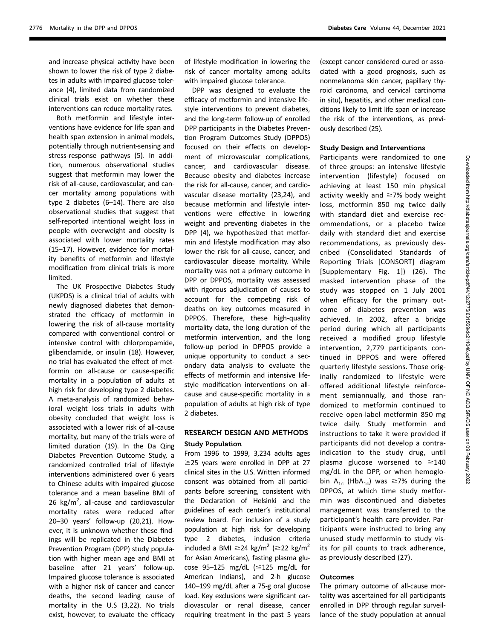and increase physical activity have been shown to lower the risk of type 2 diabetes in adults with impaired glucose tolerance (4), limited data from randomized clinical trials exist on whether these interventions can reduce mortality rates.

Both metformin and lifestyle interventions have evidence for life span and health span extension in animal models, potentially through nutrient-sensing and stress-response pathways (5). In addition, numerous observational studies suggest that metformin may lower the risk of all-cause, cardiovascular, and cancer mortality among populations with type 2 diabetes (6–14). There are also observational studies that suggest that self-reported intentional weight loss in people with overweight and obesity is associated with lower mortality rates (15–17). However, evidence for mortality benefits of metformin and lifestyle modification from clinical trials is more limited.

The UK Prospective Diabetes Study (UKPDS) is a clinical trial of adults with newly diagnosed diabetes that demonstrated the efficacy of metformin in lowering the risk of all-cause mortality compared with conventional control or intensive control with chlorpropamide, glibenclamide, or insulin (18). However, no trial has evaluated the effect of metformin on all-cause or cause-specific mortality in a population of adults at high risk for developing type 2 diabetes. A meta-analysis of randomized behavioral weight loss trials in adults with obesity concluded that weight loss is associated with a lower risk of all-cause mortality, but many of the trials were of limited duration (19). In the Da Qing Diabetes Prevention Outcome Study, a randomized controlled trial of lifestyle interventions administered over 6 years to Chinese adults with impaired glucose tolerance and a mean baseline BMI of 26 kg/m<sup>2</sup>, all-cause and cardiovascular mortality rates were reduced after 20–30 years' follow-up (20,21). However, it is unknown whether these findings will be replicated in the Diabetes Prevention Program (DPP) study population with higher mean age and BMI at baseline after 21 years' follow-up. Impaired glucose tolerance is associated with a higher risk of cancer and cancer deaths, the second leading cause of mortality in the U.S (3,22). No trials exist, however, to evaluate the efficacy

of lifestyle modification in lowering the risk of cancer mortality among adults with impaired glucose tolerance.

DPP was designed to evaluate the efficacy of metformin and intensive lifestyle interventions to prevent diabetes, and the long-term follow-up of enrolled DPP participants in the Diabetes Prevention Program Outcomes Study (DPPOS) focused on their effects on development of microvascular complications, cancer, and cardiovascular disease. Because obesity and diabetes increase the risk for all-cause, cancer, and cardiovascular disease mortality (23,24), and because metformin and lifestyle interventions were effective in lowering weight and preventing diabetes in the DPP (4), we hypothesized that metformin and lifestyle modification may also lower the risk for all-cause, cancer, and cardiovascular disease mortality. While mortality was not a primary outcome in DPP or DPPOS, mortality was assessed with rigorous adjudication of causes to account for the competing risk of deaths on key outcomes measured in DPPOS. Therefore, these high-quality mortality data, the long duration of the metformin intervention, and the long follow-up period in DPPOS provide a unique opportunity to conduct a secondary data analysis to evaluate the effects of metformin and intensive lifestyle modification interventions on allcause and cause-specific mortality in a population of adults at high risk of type 2 diabetes.

# RESEARCH DESIGN AND METHODS Study Population

From 1996 to 1999, 3,234 adults ages  $\geq$ 25 years were enrolled in DPP at 27 clinical sites in the U.S. Written informed consent was obtained from all participants before screening, consistent with the Declaration of Helsinki and the guidelines of each center's institutional review board. For inclusion of a study population at high risk for developing type 2 diabetes, inclusion criteria included a BMI  $\geq$ 24 kg/m<sup>2</sup> ( $\geq$ 22 kg/m<sup>2</sup> for Asian Americans), fasting plasma glucose 95-125 mg/dL  $(\leq 125$  mg/dL for American Indians), and 2-h glucose 140–199 mg/dL after a 75-g oral glucose load. Key exclusions were significant cardiovascular or renal disease, cancer requiring treatment in the past 5 years

(except cancer considered cured or associated with a good prognosis, such as nonmelanoma skin cancer, papillary thyroid carcinoma, and cervical carcinoma in situ), hepatitis, and other medical conditions likely to limit life span or increase the risk of the interventions, as previously described (25).

### Study Design and Interventions

Participants were randomized to one of three groups: an intensive lifestyle intervention (lifestyle) focused on achieving at least 150 min physical activity weekly and  $\geq$ 7% body weight loss, metformin 850 mg twice daily with standard diet and exercise recommendations, or a placebo twice daily with standard diet and exercise recommendations, as previously described (Consolidated Standards of Reporting Trials [CONSORT] diagram [Supplementary Fig. 1]) (26). The masked intervention phase of the study was stopped on 1 July 2001 when efficacy for the primary outcome of diabetes prevention was achieved. In 2002, after a bridge period during which all participants received a modified group lifestyle intervention, 2,779 participants continued in DPPOS and were offered quarterly lifestyle sessions. Those originally randomized to lifestyle were offered additional lifestyle reinforcement semiannually, and those randomized to metformin continued to receive open-label metformin 850 mg twice daily. Study metformin and instructions to take it were provided if participants did not develop a contraindication to the study drug, until plasma glucose worsened to  $\geq$ 140 mg/dL in the DPP, or when hemoglobin A<sub>1c</sub> (HbA<sub>1c</sub>) was  $\geq$ 7% during the DPPOS, at which time study metformin was discontinued and diabetes management was transferred to the participant's health care provider. Participants were instructed to bring any unused study metformin to study visits for pill counts to track adherence, as previously described (27).

#### **Outcomes**

The primary outcome of all-cause mortality was ascertained for all participants enrolled in DPP through regular surveillance of the study population at annual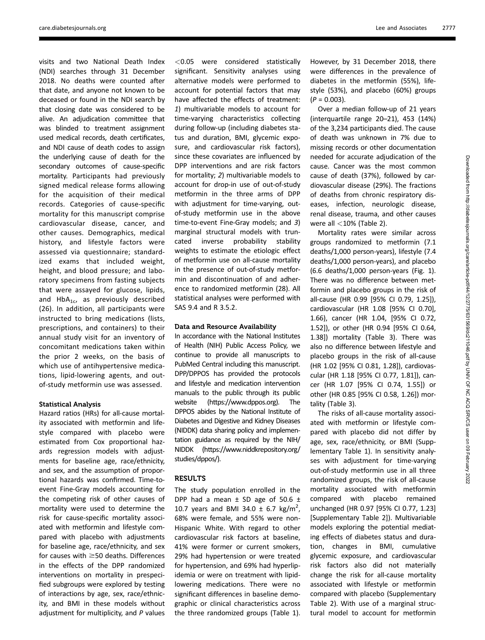visits and two National Death Index (NDI) searches through 31 December 2018. No deaths were counted after that date, and anyone not known to be deceased or found in the NDI search by that closing date was considered to be alive. An adjudication committee that was blinded to treatment assignment used medical records, death certificates, and NDI cause of death codes to assign the underlying cause of death for the secondary outcomes of cause-specific mortality. Participants had previously signed medical release forms allowing for the acquisition of their medical records. Categories of cause-specific mortality for this manuscript comprise cardiovascular disease, cancer, and other causes. Demographics, medical history, and lifestyle factors were assessed via questionnaire; standardized exams that included weight, height, and blood pressure; and laboratory specimens from fasting subjects that were assayed for glucose, lipids, and  $HbA_{1c}$ , as previously described (26). In addition, all participants were instructed to bring medications (lists, prescriptions, and containers) to their annual study visit for an inventory of concomitant medications taken within the prior 2 weeks, on the basis of which use of antihypertensive medications, lipid-lowering agents, and outof-study metformin use was assessed.

#### Statistical Analysis

Hazard ratios (HRs) for all-cause mortality associated with metformin and lifestyle compared with placebo were estimated from Cox proportional hazards regression models with adjustments for baseline age, race/ethnicity, and sex, and the assumption of proportional hazards was confirmed. Time-toevent Fine-Gray models accounting for the competing risk of other causes of mortality were used to determine the risk for cause-specific mortality associated with metformin and lifestyle compared with placebo with adjustments for baseline age, race/ethnicity, and sex for causes with  $\geq$  50 deaths. Differences in the effects of the DPP randomized interventions on mortality in prespecified subgroups were explored by testing of interactions by age, sex, race/ethnicity, and BMI in these models without adjustment for multiplicity, and P values

<0.05 were considered statistically significant. Sensitivity analyses using alternative models were performed to account for potential factors that may have affected the effects of treatment: 1) multivariable models to account for time-varying characteristics collecting during follow-up (including diabetes status and duration, BMI, glycemic exposure, and cardiovascular risk factors), since these covariates are influenced by DPP interventions and are risk factors for mortality; 2) multivariable models to account for drop-in use of out-of-study metformin in the three arms of DPP with adjustment for time-varying, outof-study metformin use in the above time-to-event Fine-Gray models; and 3) marginal structural models with truncated inverse probability stability weights to estimate the etiologic effect of metformin use on all-cause mortality in the presence of out-of-study metformin and discontinuation of and adherence to randomized metformin (28). All statistical analyses were performed with SAS 9.4 and R 3.5.2.

### Data and Resource Availability

In accordance with the National Institutes of Health (NIH) Public Access Policy, we continue to provide all manuscripts to PubMed Central including this manuscript. DPP/DPPOS has provided the protocols and lifestyle and medication intervention manuals to the public through its public website (https://www.dppos.org). The DPPOS abides by the National Institute of Diabetes and Digestive and Kidney Diseases (NIDDK) data sharing policy and implementation guidance as required by the NIH/ NIDDK (https://www.niddkrepository.org/ studies/dppos/).

### RESULTS

The study population enrolled in the DPP had a mean  $\pm$  SD age of 50.6  $\pm$ 10.7 years and BMI 34.0  $\pm$  6.7 kg/m<sup>2</sup>, 68% were female, and 55% were non-Hispanic White. With regard to other cardiovascular risk factors at baseline, 41% were former or current smokers, 29% had hypertension or were treated for hypertension, and 69% had hyperlipidemia or were on treatment with lipidlowering medications. There were no significant differences in baseline demographic or clinical characteristics across the three randomized groups (Table 1).

However, by 31 December 2018, there were differences in the prevalence of diabetes in the metformin (55%), lifestyle (53%), and placebo (60%) groups  $(P = 0.003)$ .

Over a median follow-up of 21 years (interquartile range 20–21), 453 (14%) of the 3,234 participants died. The cause of death was unknown in 7% due to missing records or other documentation needed for accurate adjudication of the cause. Cancer was the most common cause of death (37%), followed by cardiovascular disease (29%). The fractions of deaths from chronic respiratory diseases, infection, neurologic disease, renal disease, trauma, and other causes were all  $<$ 10% (Table 2).

Mortality rates were similar across groups randomized to metformin (7.1 deaths/1,000 person-years), lifestyle (7.4 deaths/1,000 person-years), and placebo (6.6 deaths/1,000 person-years (Fig. 1). There was no difference between metformin and placebo groups in the risk of all-cause (HR 0.99 [95% CI 0.79, 1.25]), cardiovascular (HR 1.08 [95% CI 0.70], 1.66), cancer (HR 1.04, [95% CI 0.72, 1.52]), or other (HR 0.94 [95% CI 0.64, 1.38]) mortality (Table 3). There was also no difference between lifestyle and placebo groups in the risk of all-cause (HR 1.02 [95% CI 0.81, 1.28]), cardiovascular (HR 1.18 [95% CI 0.77, 1.81]), cancer (HR 1.07 [95% CI 0.74, 1.55]) or other (HR 0.85 [95% CI 0.58, 1.26]) mortality (Table 3).

The risks of all-cause mortality associated with metformin or lifestyle compared with placebo did not differ by age, sex, race/ethnicity, or BMI (Supplementary Table 1). In sensitivity analyses with adjustment for time-varying out-of-study metformin use in all three randomized groups, the risk of all-cause mortality associated with metformin compared with placebo remained unchanged (HR 0.97 [95% CI 0.77, 1.23] [Supplementary Table 2]). Multivariable models exploring the potential mediating effects of diabetes status and duration, changes in BMI, cumulative glycemic exposure, and cardiovascular risk factors also did not materially change the risk for all-cause mortality associated with lifestyle or metformin compared with placebo (Supplementary Table 2). With use of a marginal structural model to account for metformin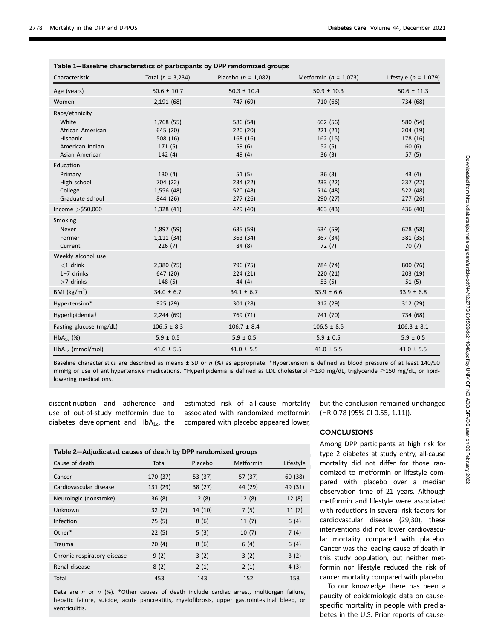| Table 1-Baseline characteristics of participants by DPP randomized groups                    |                                                       |                                                    |                                                   |                                                    |  |  |  |
|----------------------------------------------------------------------------------------------|-------------------------------------------------------|----------------------------------------------------|---------------------------------------------------|----------------------------------------------------|--|--|--|
| Characteristic                                                                               | Total $(n = 3,234)$                                   | Placebo ( $n = 1,082$ )                            | Metformin ( $n = 1,073$ )                         | Lifestyle ( $n = 1,079$ )                          |  |  |  |
| Age (years)                                                                                  | $50.6 \pm 10.7$                                       | $50.3 \pm 10.4$                                    | $50.9 \pm 10.3$                                   | $50.6 \pm 11.3$                                    |  |  |  |
| Women                                                                                        | 2,191(68)                                             | 747 (69)                                           | 710 (66)                                          | 734 (68)                                           |  |  |  |
| Race/ethnicity<br>White<br>African American<br>Hispanic<br>American Indian<br>Asian American | 1,768 (55)<br>645 (20)<br>508(16)<br>171(5)<br>142(4) | 586 (54)<br>220(20)<br>168 (16)<br>59(6)<br>49 (4) | 602 (56)<br>221(21)<br>162 (15)<br>52(5)<br>36(3) | 580 (54)<br>204 (19)<br>178 (16)<br>60(6)<br>57(5) |  |  |  |
| Education<br>Primary<br>High school<br>College<br>Graduate school                            | 130(4)<br>704 (22)<br>1,556 (48)<br>844 (26)          | 51(5)<br>234(22)<br>520 (48)<br>277 (26)           | 36(3)<br>233 (22)<br>514 (48)<br>290 (27)         | 43(4)<br>237(22)<br>522 (48)<br>277(26)            |  |  |  |
| Income $>$ \$50,000                                                                          | 1,328 (41)                                            | 429 (40)                                           | 463 (43)                                          | 436 (40)                                           |  |  |  |
| Smoking<br><b>Never</b><br>Former<br>Current                                                 | 1,897 (59)<br>1,111(34)<br>226(7)                     | 635 (59)<br>363 (34)<br>84(8)                      | 634 (59)<br>367 (34)<br>72(7)                     | 628 (58)<br>381 (35)<br>70(7)                      |  |  |  |
| Weekly alcohol use<br>$<$ 1 drink<br>$1 - 7$ drinks<br>$>7$ drinks                           | 2,380 (75)<br>647 (20)<br>148(5)                      | 796 (75)<br>224(21)<br>44 (4)                      | 784 (74)<br>220(21)<br>53 $(5)$                   | 800 (76)<br>203(19)<br>51(5)                       |  |  |  |
| BMI ( $\text{kg/m}^2$ )                                                                      | $34.0 \pm 6.7$                                        | $34.1 \pm 6.7$                                     | $33.9 \pm 6.6$                                    | $33.9 \pm 6.8$                                     |  |  |  |
| Hypertension*                                                                                | 925 (29)                                              | 301(28)                                            | 312 (29)                                          | 312 (29)                                           |  |  |  |
| Hyperlipidemia <sup>+</sup>                                                                  | 2,244(69)                                             | 769 (71)                                           | 741 (70)                                          | 734 (68)                                           |  |  |  |
| Fasting glucose (mg/dL)                                                                      | $106.5 \pm 8.3$                                       | $106.7 \pm 8.4$                                    | $106.5 \pm 8.5$                                   | $106.3 \pm 8.1$                                    |  |  |  |
| $HbA_{1c}$ (%)                                                                               | $5.9 \pm 0.5$                                         | $5.9 \pm 0.5$                                      | $5.9 \pm 0.5$                                     | $5.9 \pm 0.5$                                      |  |  |  |
| $HbA_{1c}$ (mmol/mol)                                                                        | $41.0 \pm 5.5$                                        | $41.0 \pm 5.5$                                     | $41.0 \pm 5.5$                                    | $41.0 \pm 5.5$                                     |  |  |  |

Baseline characteristics are described as means ± SD or n (%) as appropriate. \*Hypertension is defined as blood pressure of at least 140/90 mmHg or use of antihypertensive medications. †Hyperlipidemia is defined as LDL cholesterol ≥130 mg/dL, triglyceride ≥150 mg/dL, or lipidlowering medications.

discontinuation and adherence and use of out-of-study metformin due to diabetes development and  $HbA_{1c}$ , the

estimated risk of all-cause mortality associated with randomized metformin compared with placebo appeared lower,

| Table 2-Adjudicated causes of death by DPP randomized groups |          |         |           |           |  |  |  |
|--------------------------------------------------------------|----------|---------|-----------|-----------|--|--|--|
| Cause of death                                               | Total    | Placebo | Metformin | Lifestyle |  |  |  |
| Cancer                                                       | 170 (37) | 53 (37) | 57 (37)   | 60 (38)   |  |  |  |
| Cardiovascular disease                                       | 131 (29) | 38 (27) | 44 (29)   | 49 (31)   |  |  |  |
| Neurologic (nonstroke)                                       | 36(8)    | 12(8)   | 12(8)     | 12(8)     |  |  |  |
| Unknown                                                      | 32(7)    | 14 (10) | 7(5)      | 11(7)     |  |  |  |
| Infection                                                    | 25(5)    | 8(6)    | 11(7)     | 6(4)      |  |  |  |
| Other*                                                       | 22(5)    | 5(3)    | 10(7)     | 7(4)      |  |  |  |
| Trauma                                                       | 20(4)    | 8(6)    | 6(4)      | 6(4)      |  |  |  |
| Chronic respiratory disease                                  | 9(2)     | 3(2)    | 3(2)      | 3(2)      |  |  |  |
| Renal disease                                                | 8(2)     | 2(1)    | 2(1)      | 4(3)      |  |  |  |
| Total                                                        | 453      | 143     | 152       | 158       |  |  |  |

Data are n or n  $(\%)$ . \*Other causes of death include cardiac arrest, multiorgan failure, hepatic failure, suicide, acute pancreatitis, myelofibrosis, upper gastrointestinal bleed, or ventriculitis.

but the conclusion remained unchanged (HR 0.78 [95% CI 0.55, 1.11]).

### **CONCLUSIONS**

Among DPP participants at high risk for type 2 diabetes at study entry, all-cause mortality did not differ for those randomized to metformin or lifestyle compared with placebo over a median observation time of 21 years. Although metformin and lifestyle were associated with reductions in several risk factors for cardiovascular disease (29,30), these interventions did not lower cardiovascular mortality compared with placebo. Cancer was the leading cause of death in this study population, but neither metformin nor lifestyle reduced the risk of cancer mortality compared with placebo.

To our knowledge there has been a paucity of epidemiologic data on causespecific mortality in people with prediabetes in the U.S. Prior reports of cause-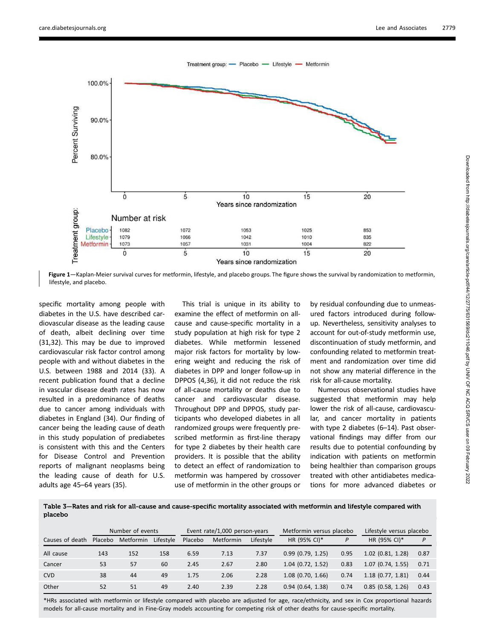



specific mortality among people with diabetes in the U.S. have described cardiovascular disease as the leading cause of death, albeit declining over time (31,32). This may be due to improved cardiovascular risk factor control among people with and without diabetes in the U.S. between 1988 and 2014 (33). A recent publication found that a decline in vascular disease death rates has now resulted in a predominance of deaths due to cancer among individuals with diabetes in England (34). Our finding of cancer being the leading cause of death in this study population of prediabetes is consistent with this and the Centers for Disease Control and Prevention reports of malignant neoplasms being the leading cause of death for U.S. adults age 45–64 years (35).

This trial is unique in its ability to examine the effect of metformin on allcause and cause-specific mortality in a study population at high risk for type 2 diabetes. While metformin lessened major risk factors for mortality by lowering weight and reducing the risk of diabetes in DPP and longer follow-up in DPPOS (4,36), it did not reduce the risk of all-cause mortality or deaths due to cancer and cardiovascular disease. Throughout DPP and DPPOS, study participants who developed diabetes in all randomized groups were frequently prescribed metformin as first-line therapy for type 2 diabetes by their health care providers. It is possible that the ability to detect an effect of randomization to metformin was hampered by crossover use of metformin in the other groups or

by residual confounding due to unmeasured factors introduced during followup. Nevertheless, sensitivity analyses to account for out-of-study metformin use, discontinuation of study metformin, and confounding related to metformin treatment and randomization over time did not show any material difference in the risk for all-cause mortality.

Numerous observational studies have suggested that metformin may help lower the risk of all-cause, cardiovascular, and cancer mortality in patients with type 2 diabetes (6–14). Past observational findings may differ from our results due to potential confounding by indication with patients on metformin being healthier than comparison groups treated with other antidiabetes medications for more advanced diabetes or

Table 3—Rates and risk for all-cause and cause-specific mortality associated with metformin and lifestyle compared with placebo

|                 | Number of events |           | Event rate/1,000 person-years |         | Metformin versus placebo |           | Lifestyle versus placebo |      |                     |      |
|-----------------|------------------|-----------|-------------------------------|---------|--------------------------|-----------|--------------------------|------|---------------------|------|
| Causes of death | Placebo          | Metformin | Lifestyle                     | Placebo | Metformin                | Lifestyle | HR (95% CI)*             | P    | HR (95% CI)*        | P    |
| All cause       | 143              | 152       | 158                           | 6.59    | 7.13                     | 7.37      | 0.99(0.79, 1.25)         | 0.95 | $1.02$ (0.81, 1.28) | 0.87 |
| Cancer          | 53               | 57        | 60                            | 2.45    | 2.67                     | 2.80      | $1.04$ (0.72, 1.52)      | 0.83 | 1.07(0.74, 1.55)    | 0.71 |
| <b>CVD</b>      | 38               | 44        | 49                            | 1.75    | 2.06                     | 2.28      | $1.08$ (0.70, 1.66)      | 0.74 | $1.18$ (0.77, 1.81) | 0.44 |
| Other           | 52               | 51        | 49                            | 2.40    | 2.39                     | 2.28      | 0.94(0.64, 1.38)         | 0.74 | $0.85$ (0.58, 1.26) | 0.43 |

\*HRs associated with metformin or lifestyle compared with placebo are adjusted for age, race/ethnicity, and sex in Cox proportional hazards models for all-cause mortality and in Fine-Gray models accounting for competing risk of other deaths for cause-specific mortality.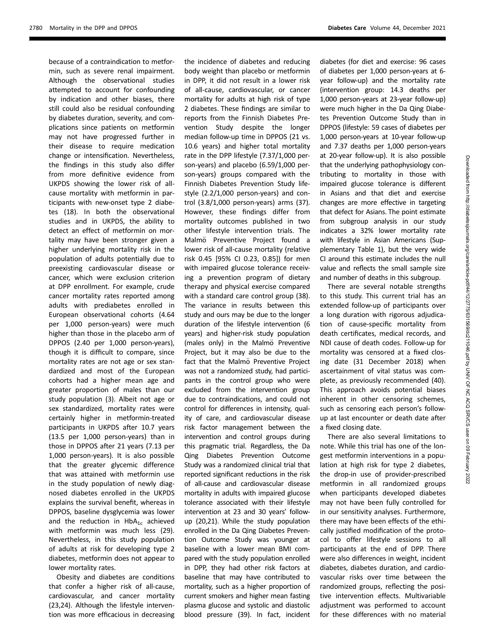because of a contraindication to metformin, such as severe renal impairment. Although the observational studies attempted to account for confounding by indication and other biases, there still could also be residual confounding by diabetes duration, severity, and complications since patients on metformin may not have progressed further in their disease to require medication change or intensification. Nevertheless, the findings in this study also differ from more definitive evidence from UKPDS showing the lower risk of allcause mortality with metformin in participants with new-onset type 2 diabetes (18). In both the observational studies and in UKPDS, the ability to detect an effect of metformin on mortality may have been stronger given a higher underlying mortality risk in the population of adults potentially due to preexisting cardiovascular disease or cancer, which were exclusion criterion at DPP enrollment. For example, crude cancer mortality rates reported among adults with prediabetes enrolled in European observational cohorts (4.64 per 1,000 person-years) were much higher than those in the placebo arm of DPPOS (2.40 per 1,000 person-years), though it is difficult to compare, since mortality rates are not age or sex standardized and most of the European cohorts had a higher mean age and greater proportion of males than our study population (3). Albeit not age or sex standardized, mortality rates were certainly higher in metformin-treated participants in UKPDS after 10.7 years (13.5 per 1,000 person-years) than in those in DPPOS after 21 years (7.13 per 1,000 person-years). It is also possible that the greater glycemic difference that was attained with metformin use in the study population of newly diagnosed diabetes enrolled in the UKPDS explains the survival benefit, whereas in DPPOS, baseline dysglycemia was lower and the reduction in  $HbA_{1c}$  achieved with metformin was much less (29). Nevertheless, in this study population of adults at risk for developing type 2 diabetes, metformin does not appear to lower mortality rates.

Obesity and diabetes are conditions that confer a higher risk of all-cause, cardiovascular, and cancer mortality (23,24). Although the lifestyle intervention was more efficacious in decreasing

the incidence of diabetes and reducing body weight than placebo or metformin in DPP, it did not result in a lower risk of all-cause, cardiovascular, or cancer mortality for adults at high risk of type 2 diabetes. These findings are similar to reports from the Finnish Diabetes Prevention Study despite the longer median follow-up time in DPPOS (21 vs. 10.6 years) and higher total mortality rate in the DPP lifestyle (7.37/1,000 person-years) and placebo (6.59/1,000 person-years) groups compared with the Finnish Diabetes Prevention Study lifestyle (2.2/1,000 person-years) and control (3.8/1,000 person-years) arms (37). However, these findings differ from mortality outcomes published in two other lifestyle intervention trials. The Malmö Preventive Project found a lower risk of all-cause mortality (relative risk 0.45 [95% CI 0.23, 0.85]) for men with impaired glucose tolerance receiving a prevention program of dietary therapy and physical exercise compared with a standard care control group (38). The variance in results between this study and ours may be due to the longer duration of the lifestyle intervention (6 years) and higher-risk study population (males only) in the Malmö Preventive Project, but it may also be due to the fact that the Malmö Preventive Project was not a randomized study, had participants in the control group who were excluded from the intervention group due to contraindications, and could not control for differences in intensity, quality of care, and cardiovascular disease risk factor management between the intervention and control groups during this pragmatic trial. Regardless, the Da Qing Diabetes Prevention Outcome Study was a randomized clinical trial that reported significant reductions in the risk of all-cause and cardiovascular disease mortality in adults with impaired glucose tolerance associated with their lifestyle intervention at 23 and 30 years' followup (20,21). While the study population enrolled in the Da Qing Diabetes Prevention Outcome Study was younger at baseline with a lower mean BMI compared with the study population enrolled in DPP, they had other risk factors at baseline that may have contributed to mortality, such as a higher proportion of current smokers and higher mean fasting plasma glucose and systolic and diastolic blood pressure (39). In fact, incident

diabetes (for diet and exercise: 96 cases of diabetes per 1,000 person-years at 6 year follow-up) and the mortality rate (intervention group: 14.3 deaths per 1,000 person-years at 23-year follow-up) were much higher in the Da Qing Diabetes Prevention Outcome Study than in DPPOS (lifestyle: 59 cases of diabetes per 1,000 person-years at 10-year follow-up and 7.37 deaths per 1,000 person-years at 20-year follow-up). It is also possible that the underlying pathophysiology contributing to mortality in those with impaired glucose tolerance is different in Asians and that diet and exercise changes are more effective in targeting that defect for Asians. The point estimate from subgroup analysis in our study indicates a 32% lower mortality rate with lifestyle in Asian Americans (Supplementary Table 1), but the very wide CI around this estimate includes the null value and reflects the small sample size and number of deaths in this subgroup.

There are several notable strengths to this study. This current trial has an extended follow-up of participants over a long duration with rigorous adjudication of cause-specific mortality from death certificates, medical records, and NDI cause of death codes. Follow-up for mortality was censored at a fixed closing date (31 December 2018) when ascertainment of vital status was complete, as previously recommended (40). This approach avoids potential biases inherent in other censoring schemes, such as censoring each person's followup at last encounter or death date after a fixed closing date.

There are also several limitations to note. While this trial has one of the longest metformin interventions in a population at high risk for type 2 diabetes, the drop-in use of provider-prescribed metformin in all randomized groups when participants developed diabetes may not have been fully controlled for in our sensitivity analyses. Furthermore, there may have been effects of the ethically justified modification of the protocol to offer lifestyle sessions to all participants at the end of DPP. There were also differences in weight, incident diabetes, diabetes duration, and cardiovascular risks over time between the randomized groups, reflecting the positive intervention effects. Multivariable adjustment was performed to account for these differences with no material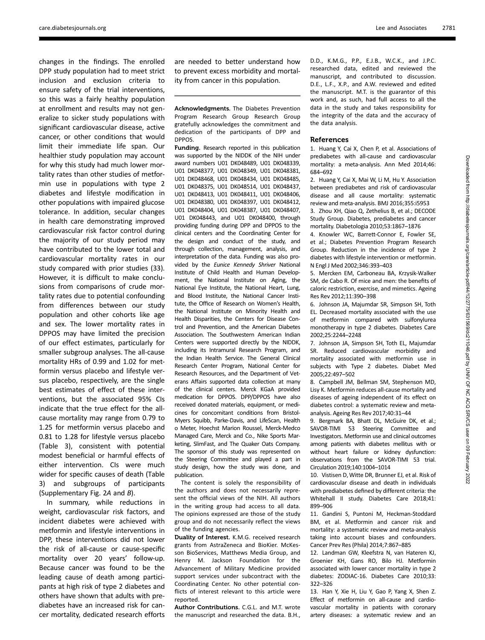changes in the findings. The enrolled DPP study population had to meet strict inclusion and exclusion criteria to ensure safety of the trial interventions, so this was a fairly healthy population at enrollment and results may not generalize to sicker study populations with significant cardiovascular disease, active cancer, or other conditions that would limit their immediate life span. Our healthier study population may account for why this study had much lower mortality rates than other studies of metformin use in populations with type 2 diabetes and lifestyle modification in other populations with impaired glucose tolerance. In addition, secular changes in health care demonstrating improved cardiovascular risk factor control during the majority of our study period may have contributed to the lower total and cardiovascular mortality rates in our study compared with prior studies (33). However, it is difficult to make conclusions from comparisons of crude mortality rates due to potential confounding from differences between our study population and other cohorts like age and sex. The lower mortality rates in DPPOS may have limited the precision of our effect estimates, particularly for smaller subgroup analyses. The all-cause mortality HRs of 0.99 and 1.02 for metformin versus placebo and lifestyle versus placebo, respectively, are the single best estimates of effect of these interventions, but the associated 95% CIs indicate that the true effect for the allcause mortality may range from 0.79 to 1.25 for metformin versus placebo and 0.81 to 1.28 for lifestyle versus placebo (Table 3), consistent with potential modest beneficial or harmful effects of either intervention. CIs were much wider for specific causes of death (Table 3) and subgroups of participants (Supplementary Fig. 2A and B).

In summary, while reductions in weight, cardiovascular risk factors, and incident diabetes were achieved with metformin and lifestyle interventions in DPP, these interventions did not lower the risk of all-cause or cause-specific mortality over 20 years' follow-up. Because cancer was found to be the leading cause of death among participants at high risk of type 2 diabetes and others have shown that adults with prediabetes have an increased risk for cancer mortality, dedicated research efforts

are needed to better understand how to prevent excess morbidity and mortality from cancer in this population.

Acknowledgments. The Diabetes Prevention Program Research Group Research Group gratefully acknowledges the commitment and dedication of the participants of DPP and DPPOS.

Funding. Research reported in this publication was supported by the NIDDK of the NIH under award numbers U01 DK048489, U01 DK048339, U01 DK048377, U01 DK048349, U01 DK048381, U01 DK048468, U01 DK048434, U01 DK048485, U01 DK048375, U01 DK048514, U01 DK048437, U01 DK048413, U01 DK048411, U01 DK048406, U01 DK048380, U01 DK048397, U01 DK048412, U01 DK048404, U01 DK048387, U01 DK048407, U01 DK048443, and U01 DK048400, through providing funding during DPP and DPPOS to the clinical centers and the Coordinating Center for the design and conduct of the study, and through collection, management, analysis, and interpretation of the data. Funding was also provided by the Eunice Kennedy Shriver National Institute of Child Health and Human Development, the National Institute on Aging, the National Eye Institute, the National Heart, Lung, and Blood Institute, the National Cancer Institute, the Office of Research on Women's Health, the National Institute on Minority Health and Health Disparities, the Centers for Disease Control and Prevention, and the American Diabetes Association. The Southwestern American Indian Centers were supported directly by the NIDDK, including its Intramural Research Program, and the Indian Health Service. The General Clinical Research Center Program, National Center for Research Resources, and the Department of Veterans Affairs supported data collection at many of the clinical centers. Merck KGaA provided medication for DPPOS. DPP/DPPOS have also received donated materials, equipment, or medicines for concomitant conditions from Bristol-Myers Squibb, Parke-Davis, and LifeScan, Health o Meter, Hoechst Marion Roussel, Merck-Medco Managed Care, Merck and Co., Nike Sports Marketing, SlimFast, and The Quaker Oats Company. The sponsor of this study was represented on the Steering Committee and played a part in study design, how the study was done, and publication.

The content is solely the responsibility of the authors and does not necessarily represent the official views of the NIH. All authors in the writing group had access to all data. The opinions expressed are those of the study group and do not necessarily reflect the views of the funding agencies.

Duality of Interest. K.M.G. received research grants from AstraZeneca and BioKier. McKesson BioServices, Matthews Media Group, and Henry M. Jackson Foundation for the Advancement of Military Medicine provided support services under subcontract with the Coordinating Center. No other potential conflicts of interest relevant to this article were reported.

Author Contributions. C.G.L. and M.T. wrote the manuscript and researched the data. B.H.,

D.D., K.M.G., P.P., E.J.B., W.C.K., and J.P.C. researched data, edited and reviewed the manuscript, and contributed to discussion. D.E., L.F., X.P., and A.W. reviewed and edited the manuscript. M.T. is the guarantor of this work and, as such, had full access to all the data in the study and takes responsibility for the integrity of the data and the accuracy of the data analysis.

#### References

1. Huang Y, Cai X, Chen P, et al. Associations of prediabetes with all-cause and cardiovascular mortality: a meta-analysis. Ann Med 2014;46: 684–692

2. Huang Y, Cai X, Mai W, Li M, Hu Y. Association between prediabetes and risk of cardiovascular disease and all cause mortality: systematic review and meta-analysis. BMJ 2016;355:i5953

3. Zhou XH, Qiao Q, Zethelius B, et al.; DECODE Study Group. Diabetes, prediabetes and cancer mortality. Diabetologia 2010;53:1867–1876

4. Knowler WC, Barrett-Connor E, Fowler SE, et al.; Diabetes Prevention Program Research Group. Reduction in the incidence of type 2 diabetes with lifestyle intervention or metformin. N Engl J Med 2002;346:393–403

5. Mercken EM, Carboneau BA, Krzysik-Walker SM, de Cabo R. Of mice and men: the benefits of caloric restriction, exercise, and mimetics. Ageing Res Rev 2012;11:390–398

6. Johnson JA, Majumdar SR, Simpson SH, Toth EL. Decreased mortality associated with the use of metformin compared with sulfonylurea monotherapy in type 2 diabetes. Diabetes Care 2002;25:2244–2248

7. Johnson JA, Simpson SH, Toth EL, Majumdar SR. Reduced cardiovascular morbidity and mortality associated with metformin use in subjects with Type 2 diabetes. Diabet Med 2005;22:497–502

8. Campbell JM, Bellman SM, Stephenson MD, Lisy K. Metformin reduces all-cause mortality and diseases of ageing independent of its effect on diabetes control: a systematic review and metaanalysis. Ageing Res Rev 2017;40:31–44

9. Bergmark BA, Bhatt DL, McGuire DK, et al.; SAVOR-TIMI 53 Steering Committee and Investigators. Metformin use and clinical outcomes among patients with diabetes mellitus with or without heart failure or kidney dysfunction: observations from the SAVOR-TIMI 53 trial. Circulation 2019;140:1004–1014

10. Vistisen D,Witte DR, Brunner EJ, et al. Risk of cardiovascular disease and death in individuals with prediabetes defined by different criteria: the Whitehall II study. Diabetes Care 2018;41: 899–906

11. Gandini S, Puntoni M, Heckman-Stoddard BM, et al. Metformin and cancer risk and mortality: a systematic review and meta-analysis taking into account biases and confounders. Cancer Prev Res (Phila) 2014;7:867–885

12. Landman GW, Kleefstra N, van Hateren KJ, Groenier KH, Gans RO, Bilo HJ. Metformin associated with lower cancer mortality in type 2 diabetes: ZODIAC-16. Diabetes Care 2010;33: 322–326

13. Han Y, Xie H, Liu Y, Gao P, Yang X, Shen Z. Effect of metformin on all-cause and cardiovascular mortality in patients with coronary artery diseases: a systematic review and an